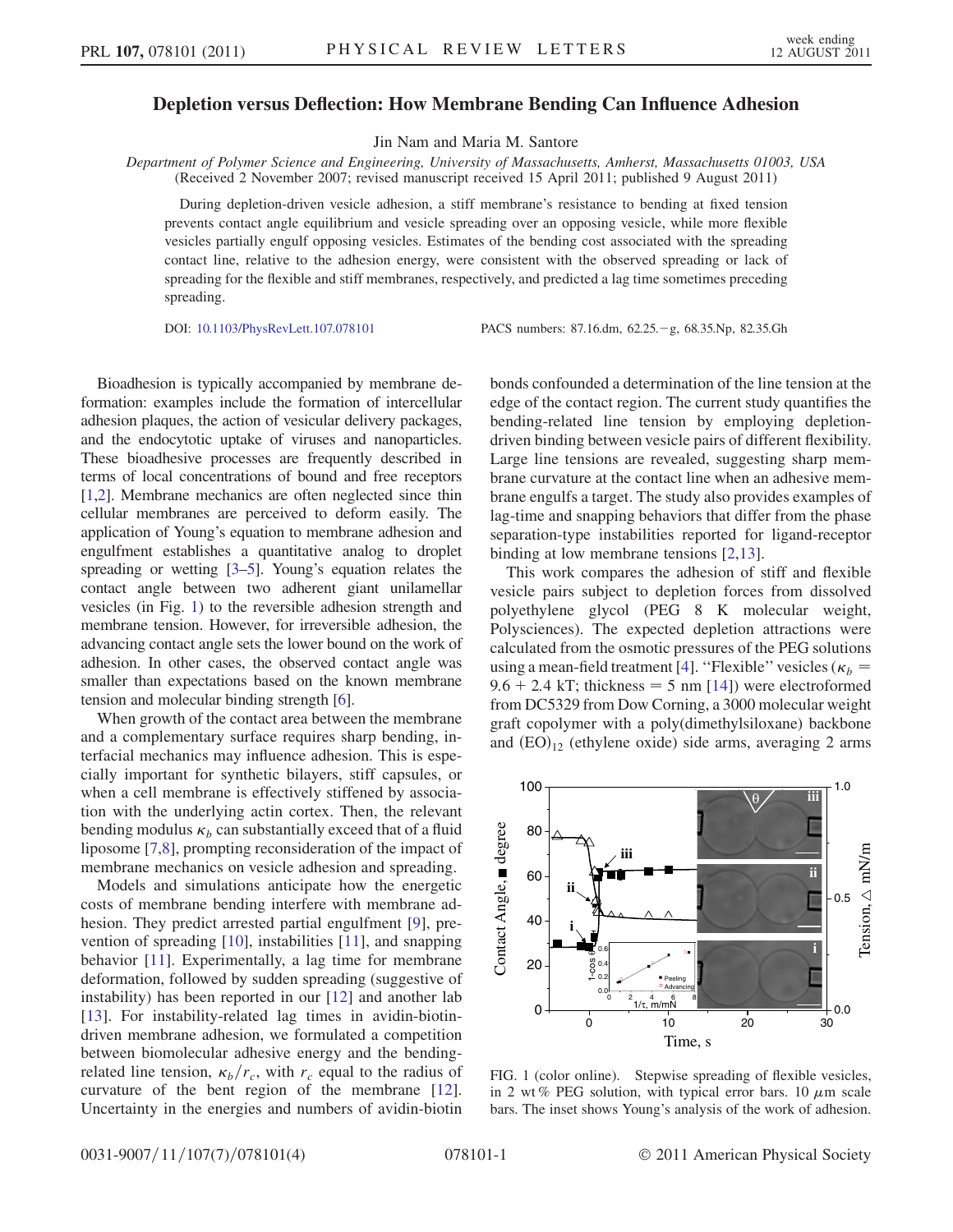## Depletion versus Deflection: How Membrane Bending Can Influence Adhesion

Jin Nam and Maria M. Santore

Department of Polymer Science and Engineering, University of Massachusetts, Amherst, Massachusetts 01003, USA (Received 2 November 2007; revised manuscript received 15 April 2011; published 9 August 2011)

During depletion-driven vesicle adhesion, a stiff membrane's resistance to bending at fixed tension prevents contact angle equilibrium and vesicle spreading over an opposing vesicle, while more flexible vesicles partially engulf opposing vesicles. Estimates of the bending cost associated with the spreading contact line, relative to the adhesion energy, were consistent with the observed spreading or lack of spreading for the flexible and stiff membranes, respectively, and predicted a lag time sometimes preceding spreading.

DOI: [10.1103/PhysRevLett.107.078101](http://dx.doi.org/10.1103/PhysRevLett.107.078101) PACS numbers: 87.16.dm, 62.25. g, 68.35.Np, 82.35.Gh

Bioadhesion is typically accompanied by membrane deformation: examples include the formation of intercellular adhesion plaques, the action of vesicular delivery packages, and the endocytotic uptake of viruses and nanoparticles. These bioadhesive processes are frequently described in terms of local concentrations of bound and free receptors [\[1](#page-3-0),[2\]](#page-3-1). Membrane mechanics are often neglected since thin cellular membranes are perceived to deform easily. The application of Young's equation to membrane adhesion and engulfment establishes a quantitative analog to droplet spreading or wetting [[3–](#page-3-2)[5\]](#page-3-3). Young's equation relates the contact angle between two adherent giant unilamellar vesicles (in Fig. [1\)](#page-0-0) to the reversible adhesion strength and membrane tension. However, for irreversible adhesion, the advancing contact angle sets the lower bound on the work of adhesion. In other cases, the observed contact angle was smaller than expectations based on the known membrane tension and molecular binding strength [\[6](#page-3-4)].

When growth of the contact area between the membrane and a complementary surface requires sharp bending, interfacial mechanics may influence adhesion. This is especially important for synthetic bilayers, stiff capsules, or when a cell membrane is effectively stiffened by association with the underlying actin cortex. Then, the relevant bending modulus  $\kappa_b$  can substantially exceed that of a fluid liposome [\[7](#page-3-5)[,8](#page-3-6)], prompting reconsideration of the impact of membrane mechanics on vesicle adhesion and spreading.

Models and simulations anticipate how the energetic costs of membrane bending interfere with membrane adhesion. They predict arrested partial engulfment [\[9](#page-3-7)], prevention of spreading [\[10](#page-3-8)], instabilities [\[11](#page-3-9)], and snapping behavior [\[11\]](#page-3-9). Experimentally, a lag time for membrane deformation, followed by sudden spreading (suggestive of instability) has been reported in our [\[12](#page-3-10)] and another lab [\[13\]](#page-3-11). For instability-related lag times in avidin-biotindriven membrane adhesion, we formulated a competition between biomolecular adhesive energy and the bendingrelated line tension,  $\kappa_b/r_c$ , with  $r_c$  equal to the radius of curvature of the bent region of the membrane [\[12\]](#page-3-10). Uncertainty in the energies and numbers of avidin-biotin bonds confounded a determination of the line tension at the edge of the contact region. The current study quantifies the bending-related line tension by employing depletiondriven binding between vesicle pairs of different flexibility. Large line tensions are revealed, suggesting sharp membrane curvature at the contact line when an adhesive membrane engulfs a target. The study also provides examples of lag-time and snapping behaviors that differ from the phase separation-type instabilities reported for ligand-receptor binding at low membrane tensions [\[2,](#page-3-1)[13\]](#page-3-11).

This work compares the adhesion of stiff and flexible vesicle pairs subject to depletion forces from dissolved polyethylene glycol (PEG 8 K molecular weight, Polysciences). The expected depletion attractions were calculated from the osmotic pressures of the PEG solutions using a mean-field treatment [[4](#page-3-12)]. "Flexible" vesicles ( $\kappa_b$  =  $9.6 + 2.4$  kT; thickness = 5 nm [[14\]](#page-3-13)) were electroformed from DC5329 from Dow Corning, a 3000 molecular weight graft copolymer with a poly(dimethylsiloxane) backbone and  $(EO)_{12}$  (ethylene oxide) side arms, averaging 2 arms

<span id="page-0-0"></span>

FIG. 1 (color online). Stepwise spreading of flexible vesicles, in 2 wt% PEG solution, with typical error bars. 10  $\mu$ m scale bars. The inset shows Young's analysis of the work of adhesion.

0031-9007/11/107(7)/078101(4) 078101-1 © 2011 American Physical Society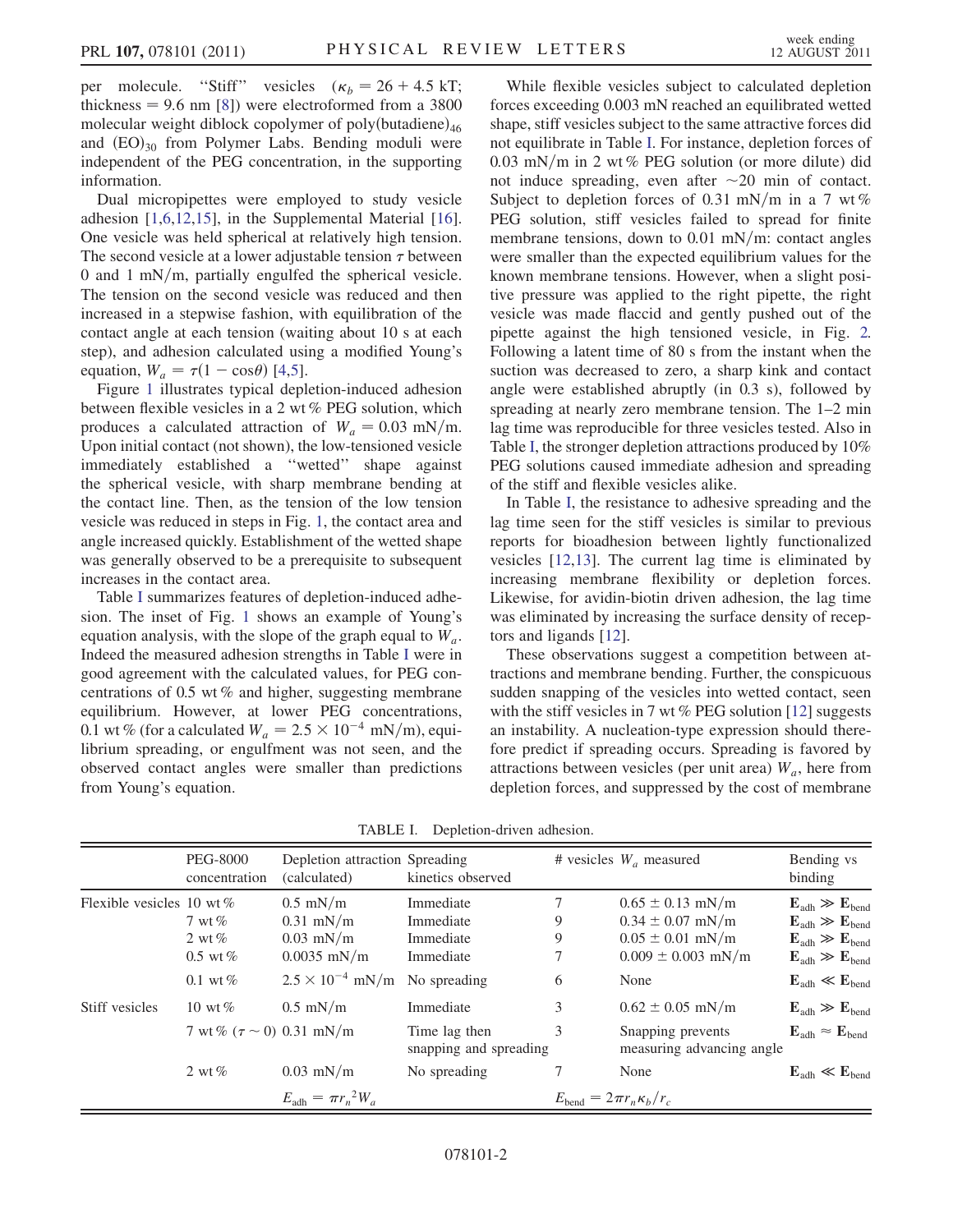per molecule. "Stiff" vesicles  $(\kappa_b = 26 + 4.5 \text{ kT})$ ; thickness  $= 9.6$  nm [\[8\]](#page-3-6)) were electroformed from a 3800 molecular weight diblock copolymer of poly $(\text{butadiene})_{46}$ and  $(EO)_{30}$  from Polymer Labs. Bending moduli were independent of the PEG concentration, in the supporting information.

Dual micropipettes were employed to study vesicle adhesion [[1,](#page-3-0)[6](#page-3-4)[,12,](#page-3-10)[15](#page-3-14)], in the Supplemental Material [[16\]](#page-3-15). One vesicle was held spherical at relatively high tension. The second vesicle at a lower adjustable tension  $\tau$  between 0 and 1 mN/m, partially engulfed the spherical vesicle. The tension on the second vesicle was reduced and then increased in a stepwise fashion, with equilibration of the contact angle at each tension (waiting about 10 s at each step), and adhesion calculated using a modified Young's equation,  $W_a = \tau (1 - \cos \theta)$  [[4](#page-3-12),[5](#page-3-3)].

Figure [1](#page-0-0) illustrates typical depletion-induced adhesion between flexible vesicles in a 2 wt % PEG solution, which produces a calculated attraction of  $W_a = 0.03$  mN/m. Upon initial contact (not shown), the low-tensioned vesicle immediately established a ''wetted'' shape against the spherical vesicle, with sharp membrane bending at the contact line. Then, as the tension of the low tension vesicle was reduced in steps in Fig. [1,](#page-0-0) the contact area and angle increased quickly. Establishment of the wetted shape was generally observed to be a prerequisite to subsequent increases in the contact area.

Table [I](#page-1-0) summarizes features of depletion-induced adhesion. The inset of Fig. [1](#page-0-0) shows an example of Young's equation analysis, with the slope of the graph equal to  $W_a$ . Indeed the measured adhesion strengths in Table [I](#page-1-0) were in good agreement with the calculated values, for PEG concentrations of 0.5 wt % and higher, suggesting membrane equilibrium. However, at lower PEG concentrations, 0.1 wt % (for a calculated  $W_a = 2.5 \times 10^{-4} \text{ mN/m}$ ), equilibrium spreading, or engulfment was not seen, and the observed contact angles were smaller than predictions from Young's equation.

While flexible vesicles subject to calculated depletion forces exceeding 0.003 mN reached an equilibrated wetted shape, stiff vesicles subject to the same attractive forces did not equilibrate in Table [I](#page-1-0). For instance, depletion forces of  $0.03$  mN/m in 2 wt % PEG solution (or more dilute) did not induce spreading, even after  $\sim$ 20 min of contact. Subject to depletion forces of 0.31 mN/m in a 7 wt % PEG solution, stiff vesicles failed to spread for finite membrane tensions, down to  $0.01$  mN/m: contact angles were smaller than the expected equilibrium values for the known membrane tensions. However, when a slight positive pressure was applied to the right pipette, the right vesicle was made flaccid and gently pushed out of the pipette against the high tensioned vesicle, in Fig. [2.](#page-2-0) Following a latent time of 80 s from the instant when the suction was decreased to zero, a sharp kink and contact angle were established abruptly (in 0.3 s), followed by spreading at nearly zero membrane tension. The 1–2 min lag time was reproducible for three vesicles tested. Also in Table [I,](#page-1-0) the stronger depletion attractions produced by 10% PEG solutions caused immediate adhesion and spreading of the stiff and flexible vesicles alike.

In Table [I](#page-1-0), the resistance to adhesive spreading and the lag time seen for the stiff vesicles is similar to previous reports for bioadhesion between lightly functionalized vesicles [\[12,](#page-3-10)[13\]](#page-3-11). The current lag time is eliminated by increasing membrane flexibility or depletion forces. Likewise, for avidin-biotin driven adhesion, the lag time was eliminated by increasing the surface density of receptors and ligands [[12](#page-3-10)].

These observations suggest a competition between attractions and membrane bending. Further, the conspicuous sudden snapping of the vesicles into wetted contact, seen with the stiff vesicles in 7 wt  $%$  PEG solution [\[12\]](#page-3-10) suggests an instability. A nucleation-type expression should therefore predict if spreading occurs. Spreading is favored by attractions between vesicles (per unit area)  $W_a$ , here from depletion forces, and suppressed by the cost of membrane

| TABLE I. | Depletion-driven adhesion. |  |
|----------|----------------------------|--|
|----------|----------------------------|--|

<span id="page-1-0"></span>

|                              | <b>PEG-8000</b><br>concentration             | Depletion attraction Spreading<br>(calculated)            | kinetics observed                                |                                           | # vesicles $W_a$ measured                                                                      | Bending vs<br>binding                                                                                                                                        |
|------------------------------|----------------------------------------------|-----------------------------------------------------------|--------------------------------------------------|-------------------------------------------|------------------------------------------------------------------------------------------------|--------------------------------------------------------------------------------------------------------------------------------------------------------------|
| Flexible vesicles 10 wt $\%$ | 7 wt $%$<br>2 wt $%$<br>$0.5 \text{ wt } \%$ | $0.5$ mN/m<br>$0.31$ mN/m<br>$0.03$ mN/m<br>$0.0035$ mN/m | Immediate<br>Immediate<br>Immediate<br>Immediate | 7<br>9<br>9                               | $0.65 \pm 0.13$ mN/m<br>$0.34 \pm 0.07$ mN/m<br>$0.05 \pm 0.01$ mN/m<br>$0.009 \pm 0.003$ mN/m | $E_{\text{adh}} \gg E_{\text{bend}}$<br>$E_{\text{adh}} \gg E_{\text{bend}}$<br>$E_{\text{adh}} \gg E_{\text{bend}}$<br>$E_{\text{adh}} \gg E_{\text{bend}}$ |
|                              | $0.1 \text{ wt } \%$                         | $2.5 \times 10^{-4}$ mN/m                                 | No spreading                                     | 6                                         | None                                                                                           | $E_{\text{adh}} \ll E_{\text{bend}}$                                                                                                                         |
| Stiff vesicles               | 10 wt $\%$                                   | $0.5$ mN/m                                                | Immediate                                        | 3                                         | $0.62 \pm 0.05$ mN/m                                                                           | $E_{\text{adh}} \gg E_{\text{bend}}$                                                                                                                         |
|                              | 7 wt% $(\tau \sim 0)$ 0.31 mN/m              |                                                           | Time lag then<br>snapping and spreading          | 3                                         | Snapping prevents<br>measuring advancing angle                                                 | $\mathbf{E}_{\text{adh}} \approx \mathbf{E}_{\text{bend}}$                                                                                                   |
|                              | 2 wt $%$                                     | $0.03$ mN/m                                               | No spreading                                     |                                           | None                                                                                           | $E_{\text{adh}} \ll E_{\text{bend}}$                                                                                                                         |
|                              |                                              | $E_{\text{adh}} = \pi r_n^2 W_a$                          |                                                  | $E_{\text{bend}} = 2\pi r_n \kappa_b/r_c$ |                                                                                                |                                                                                                                                                              |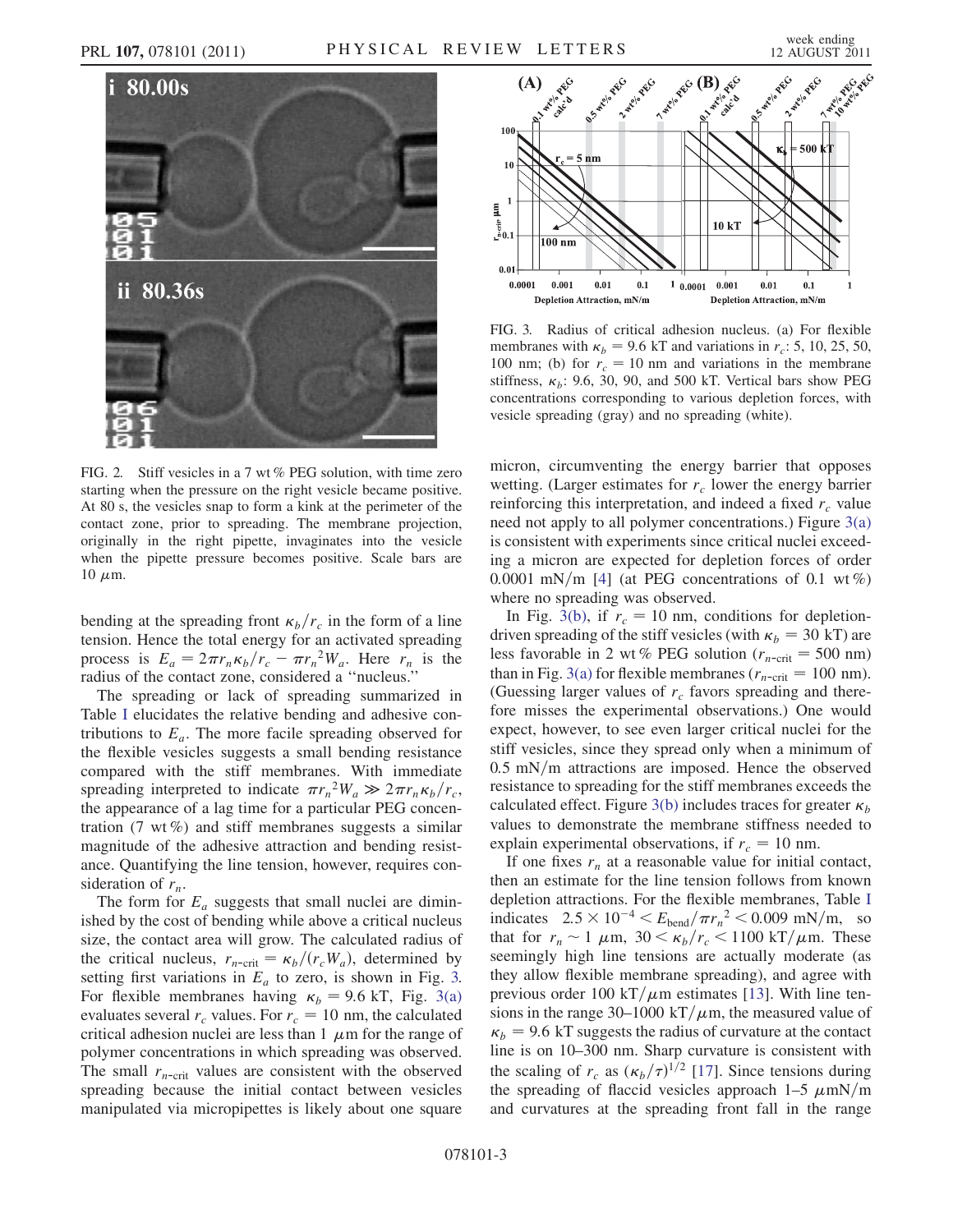<span id="page-2-0"></span>

FIG. 2. Stiff vesicles in a 7 wt % PEG solution, with time zero starting when the pressure on the right vesicle became positive. At 80 s, the vesicles snap to form a kink at the perimeter of the contact zone, prior to spreading. The membrane projection, originally in the right pipette, invaginates into the vesicle when the pipette pressure becomes positive. Scale bars are  $10 \mu m$ .

bending at the spreading front  $\kappa_b/r_c$  in the form of a line tension. Hence the total energy for an activated spreading process is  $E_a = 2\pi r_n \kappa_b/r_c - \pi r_n^2 W_a$ . Here  $r_n$  is the radius of the contact zone, considered a ''nucleus.''

The spreading or lack of spreading summarized in Table [I](#page-1-0) elucidates the relative bending and adhesive contributions to  $E_a$ . The more facile spreading observed for the flexible vesicles suggests a small bending resistance compared with the stiff membranes. With immediate spreading interpreted to indicate  $\pi r_n^2 W_a \gg 2\pi r_n \kappa_b/r_c$ , the appearance of a lag time for a particular PEG concentration  $(7 \text{ wt } \%)$  and stiff membranes suggests a similar magnitude of the adhesive attraction and bending resistance. Quantifying the line tension, however, requires consideration of  $r_n$ .

The form for  $E_a$  suggests that small nuclei are diminished by the cost of bending while above a critical nucleus size, the contact area will grow. The calculated radius of the critical nucleus,  $r_{n\text{-crit}} = \kappa_b/(r_cW_a)$ , determined by setting first variations in  $E_a$  to zero, is shown in Fig. [3.](#page-2-1) For flexible membranes having  $\kappa_b = 9.6$  kT, Fig. [3\(a\)](#page-2-2) evaluates several  $r_c$  values. For  $r_c = 10$  nm, the calculated critical adhesion nuclei are less than 1  $\mu$ m for the range of polymer concentrations in which spreading was observed. The small  $r_{n\text{-crit}}$  values are consistent with the observed spreading because the initial contact between vesicles manipulated via micropipettes is likely about one square



<span id="page-2-2"></span><span id="page-2-1"></span>FIG. 3. Radius of critical adhesion nucleus. (a) For flexible membranes with  $\kappa_b = 9.6$  kT and variations in  $r_c$ : 5, 10, 25, 50, 100 nm; (b) for  $r_c = 10$  nm and variations in the membrane stiffness,  $\kappa_h$ : 9.6, 30, 90, and 500 kT. Vertical bars show PEG concentrations corresponding to various depletion forces, with vesicle spreading (gray) and no spreading (white).

micron, circumventing the energy barrier that opposes wetting. (Larger estimates for  $r_c$  lower the energy barrier reinforcing this interpretation, and indeed a fixed  $r_c$  value need not apply to all polymer concentrations.) Figure [3\(a\)](#page-2-2) is consistent with experiments since critical nuclei exceeding a micron are expected for depletion forces of order 0.0001 mN/m [[4\]](#page-3-12) (at PEG concentrations of 0.1 wt %) where no spreading was observed.

In Fig. [3\(b\)](#page-2-2), if  $r_c = 10$  nm, conditions for depletiondriven spreading of the stiff vesicles (with  $\kappa_b = 30$  kT) are less favorable in 2 wt % PEG solution ( $r_{n\text{-crit}} = 500 \text{ nm}$ ) than in Fig. [3\(a\)](#page-2-2) for flexible membranes ( $r_{n\text{-crit}} = 100 \text{ nm}$ ). (Guessing larger values of  $r_c$  favors spreading and therefore misses the experimental observations.) One would expect, however, to see even larger critical nuclei for the stiff vesicles, since they spread only when a minimum of  $0.5$  mN/m attractions are imposed. Hence the observed resistance to spreading for the stiff membranes exceeds the calculated effect. Figure [3\(b\)](#page-2-2) includes traces for greater  $\kappa_b$ values to demonstrate the membrane stiffness needed to explain experimental observations, if  $r_c = 10$  nm.

If one fixes  $r_n$  at a reasonable value for initial contact, then an estimate for the line tension follows from known depletion attractions. For the flexible membranes, Table [I](#page-1-0) indicates  $2.5 \times 10^{-4} < E_{\text{bend}}/\pi r_n^2 < 0.009 \text{ mN/m}$ , so that for  $r_n \sim 1 \mu \text{m}$ ,  $30 \le \kappa_b/r_c \le 1100 \text{ kT}/\mu \text{m}$ . These seemingly high line tensions are actually moderate (as they allow flexible membrane spreading), and agree with previous order 100 kT/ $\mu$ m estimates [[13](#page-3-11)]. With line tensions in the range 30–1000 kT/ $\mu$ m, the measured value of  $k_b$  = 9.6 kT suggests the radius of curvature at the contact line is on 10–300 nm. Sharp curvature is consistent with the scaling of  $r_c$  as  $(\kappa_b/\tau)^{1/2}$  [\[17\]](#page-3-16). Since tensions during the spreading of flaccid vesicles approach  $1-5 \ \mu \text{mN/m}$ and curvatures at the spreading front fall in the range